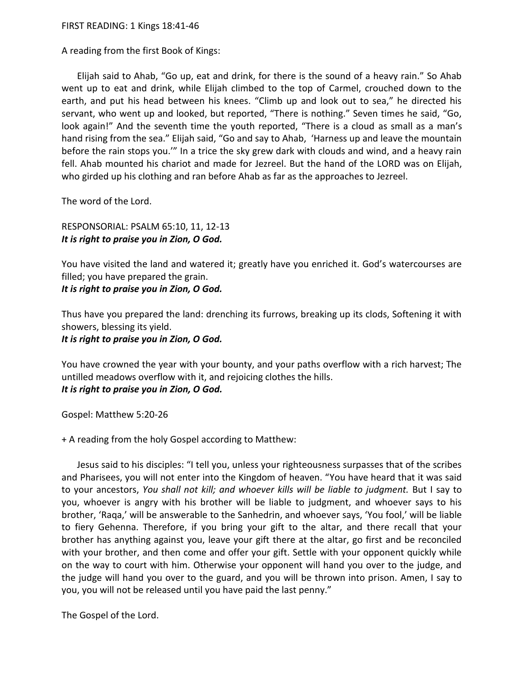FIRST READING: 1 Kings 18:41-46

A reading from the first Book of Kings:

Elijah said to Ahab, "Go up, eat and drink, for there is the sound of a heavy rain." So Ahab went up to eat and drink, while Elijah climbed to the top of Carmel, crouched down to the earth, and put his head between his knees. "Climb up and look out to sea," he directed his servant, who went up and looked, but reported, "There is nothing." Seven times he said, "Go, look again!" And the seventh time the youth reported, "There is a cloud as small as a man's hand rising from the sea." Elijah said, "Go and say to Ahab, 'Harness up and leave the mountain before the rain stops you.'" In a trice the sky grew dark with clouds and wind, and a heavy rain fell. Ahab mounted his chariot and made for Jezreel. But the hand of the LORD was on Elijah, who girded up his clothing and ran before Ahab as far as the approaches to Jezreel.

The word of the Lord.

RESPONSORIAL: PSALM 65:10, 11, 12-13 *It is right to praise you in Zion, O God.*

You have visited the land and watered it; greatly have you enriched it. God's watercourses are filled; you have prepared the grain. *It is right to praise you in Zion, O God.*

Thus have you prepared the land: drenching its furrows, breaking up its clods, Softening it with showers, blessing its yield.

*It is right to praise you in Zion, O God.*

You have crowned the year with your bounty, and your paths overflow with a rich harvest; The untilled meadows overflow with it, and rejoicing clothes the hills. *It is right to praise you in Zion, O God.*

Gospel: Matthew 5:20-26

+ A reading from the holy Gospel according to Matthew:

Jesus said to his disciples: "I tell you, unless your righteousness surpasses that of the scribes and Pharisees, you will not enter into the Kingdom of heaven. "You have heard that it was said to your ancestors, *You shall not kill; and whoever kills will be liable to judgment.* But I say to you, whoever is angry with his brother will be liable to judgment, and whoever says to his brother, 'Raqa,' will be answerable to the Sanhedrin, and whoever says, 'You fool,' will be liable to fiery Gehenna. Therefore, if you bring your gift to the altar, and there recall that your brother has anything against you, leave your gift there at the altar, go first and be reconciled with your brother, and then come and offer your gift. Settle with your opponent quickly while on the way to court with him. Otherwise your opponent will hand you over to the judge, and the judge will hand you over to the guard, and you will be thrown into prison. Amen, I say to you, you will not be released until you have paid the last penny."

The Gospel of the Lord.